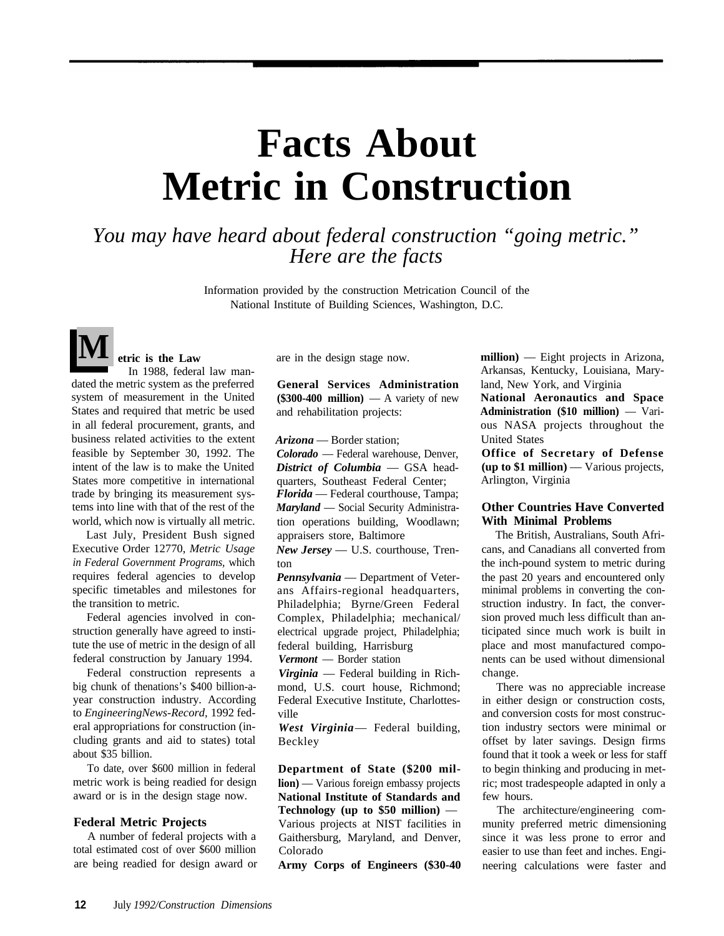# **Facts About Metric in Construction**

*You may have heard about federal construction "going metric." Here are the facts*

> Information provided by the construction Metrication Council of the National Institute of Building Sciences, Washington, D.C.

**M etric is the Law** In 1988, federal law mandated the metric system as the preferred system of measurement in the United States and required that metric be used in all federal procurement, grants, and business related activities to the extent feasible by September 30, 1992. The intent of the law is to make the United States more competitive in international trade by bringing its measurement systems into line with that of the rest of the world, which now is virtually all metric.

Last July, President Bush signed Executive Order 12770, *Metric Usage in Federal Government Programs,* which requires federal agencies to develop specific timetables and milestones for the transition to metric.

Federal agencies involved in construction generally have agreed to institute the use of metric in the design of all federal construction by January 1994.

Federal construction represents a big chunk of thenations's \$400 billion-ayear construction industry. According to *EngineeringNews-Record,* 1992 federal appropriations for construction (including grants and aid to states) total about \$35 billion.

To date, over \$600 million in federal metric work is being readied for design award or is in the design stage now.

#### **Federal Metric Projects**

A number of federal projects with a total estimated cost of over \$600 million are being readied for design award or are in the design stage now.

**General Services Administration**  $($300-400$  million) — A variety of new and rehabilitation projects:

*Arizona* — Border station;

*Colorado* — Federal warehouse, Denver, *District of Columbia* — GSA headquarters, Southeast Federal Center; *Florida* — Federal courthouse, Tampa; *Maryland* — Social Security Administration operations building, Woodlawn; appraisers store, Baltimore

*New Jersey* — U.S. courthouse, Trenton

*Pennsylvania* — Department of Veterans Affairs-regional headquarters, Philadelphia; Byrne/Green Federal Complex, Philadelphia; mechanical/ electrical upgrade project, Philadelphia; federal building, Harrisburg

*Vermont* — Border station

*Virginia* — Federal building in Richmond, U.S. court house, Richmond; Federal Executive Institute, Charlottesville

*West Virginia*— Federal building, Beckley

**Department of State (\$200 million**) — Various foreign embassy projects **National Institute of Standards and Technology (up to \$50 million)** — Various projects at NIST facilities in Gaithersburg, Maryland, and Denver, Colorado

**Army Corps of Engineers (\$30-40**

**million)** — Eight projects in Arizona, Arkansas, Kentucky, Louisiana, Maryland, New York, and Virginia **National Aeronautics and Space**

**Administration (\$10 million)** — Various NASA projects throughout the United States

**Office of Secretary of Defense (up to \$1 million)** — Various projects, Arlington, Virginia

# **Other Countries Have Converted With Minimal Problems**

The British, Australians, South Africans, and Canadians all converted from the inch-pound system to metric during the past 20 years and encountered only minimal problems in converting the construction industry. In fact, the conversion proved much less difficult than anticipated since much work is built in place and most manufactured components can be used without dimensional change.

There was no appreciable increase in either design or construction costs, and conversion costs for most construction industry sectors were minimal or offset by later savings. Design firms found that it took a week or less for staff to begin thinking and producing in metric; most tradespeople adapted in only a few hours.

The architecture/engineering community preferred metric dimensioning since it was less prone to error and easier to use than feet and inches. Engineering calculations were faster and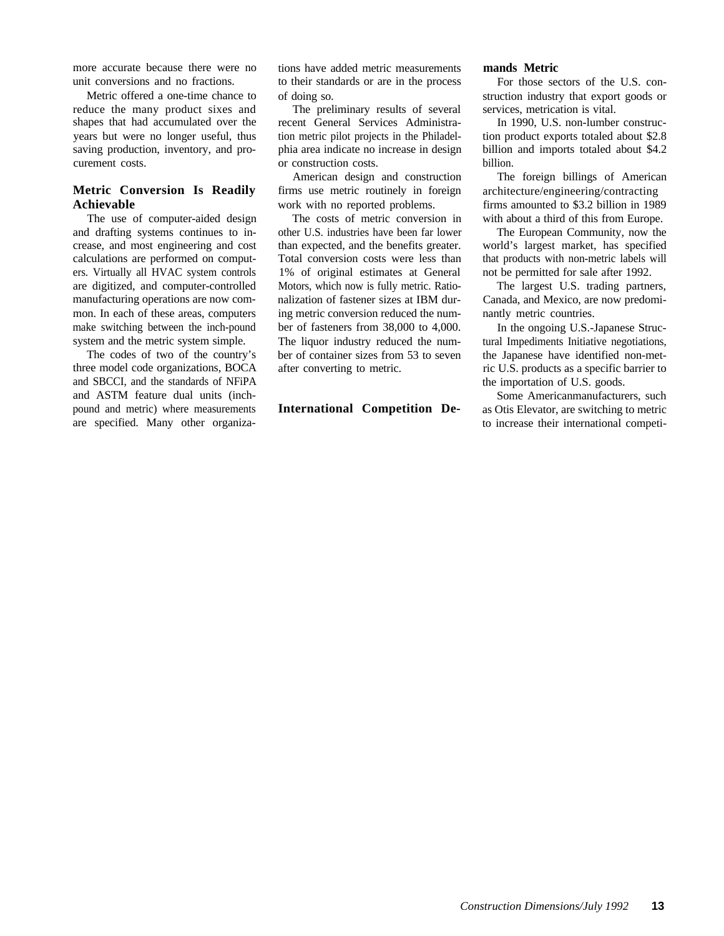more accurate because there were no unit conversions and no fractions.

Metric offered a one-time chance to reduce the many product sixes and shapes that had accumulated over the years but were no longer useful, thus saving production, inventory, and procurement costs.

# **Metric Conversion Is Readily Achievable**

The use of computer-aided design and drafting systems continues to increase, and most engineering and cost calculations are performed on computers. Virtually all HVAC system controls are digitized, and computer-controlled manufacturing operations are now common. In each of these areas, computers make switching between the inch-pound system and the metric system simple.

The codes of two of the country's three model code organizations, BOCA and SBCCI, and the standards of NFiPA and ASTM feature dual units (inchpound and metric) where measurements are specified. Many other organizations have added metric measurements to their standards or are in the process of doing so.

The preliminary results of several recent General Services Administration metric pilot projects in the Philadelphia area indicate no increase in design or construction costs.

American design and construction firms use metric routinely in foreign work with no reported problems.

The costs of metric conversion in other U.S. industries have been far lower than expected, and the benefits greater. Total conversion costs were less than 1% of original estimates at General Motors, which now is fully metric. Rationalization of fastener sizes at IBM during metric conversion reduced the number of fasteners from 38,000 to 4,000. The liquor industry reduced the number of container sizes from 53 to seven after converting to metric.

#### **International Competition De-**

#### **mands Metric**

For those sectors of the U.S. construction industry that export goods or services, metrication is vital.

In 1990, U.S. non-lumber construction product exports totaled about \$2.8 billion and imports totaled about \$4.2 billion.

The foreign billings of American architecture/engineering/contracting firms amounted to \$3.2 billion in 1989 with about a third of this from Europe.

The European Community, now the world's largest market, has specified that products with non-metric labels will not be permitted for sale after 1992.

The largest U.S. trading partners, Canada, and Mexico, are now predominantly metric countries.

In the ongoing U.S.-Japanese Structural Impediments Initiative negotiations, the Japanese have identified non-metric U.S. products as a specific barrier to the importation of U.S. goods.

Some Americanmanufacturers, such as Otis Elevator, are switching to metric to increase their international competi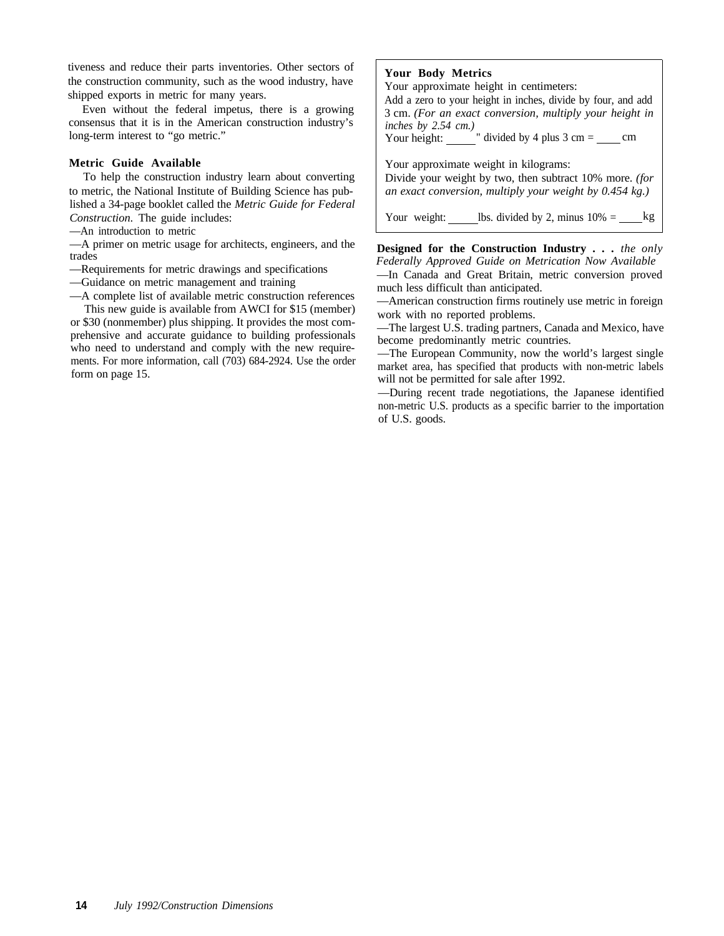tiveness and reduce their parts inventories. Other sectors of the construction community, such as the wood industry, have shipped exports in metric for many years.

Even without the federal impetus, there is a growing consensus that it is in the American construction industry's long-term interest to "go metric."

### **Metric Guide Available**

To help the construction industry learn about converting to metric, the National Institute of Building Science has published a 34-page booklet called the *Metric Guide for Federal Construction.* The guide includes:

—An introduction to metric

—A primer on metric usage for architects, engineers, and the trades

—Requirements for metric drawings and specifications

—Guidance on metric management and training

—A complete list of available metric construction references This new guide is available from AWCI for \$15 (member)

or \$30 (nonmember) plus shipping. It provides the most comprehensive and accurate guidance to building professionals who need to understand and comply with the new requirements. For more information, call (703) 684-2924. Use the order form on page 15.

### **Your Body Metrics**

Your approximate height in centimeters:

Add a zero to your height in inches, divide by four, and add 3 cm. *(For an exact conversion, multiply your height in inches by 2.54 cm.)*

Your height:  $\frac{ }{ }$  " divided by 4 plus 3 cm =  $\frac{ }{ }$  cm

Your approximate weight in kilograms: Divide your weight by two, then subtract 10% more. *(for*

*an exact conversion, multiply your weight by 0.454 kg.)*

Your weight:  $\_\_\_\_\$ lbs. divided by 2, minus 10% =  $\_\_\_\_\_\$ 

**Designed for the Construction Industry . . .** *the only Federally Approved Guide on Metrication Now Available* —In Canada and Great Britain, metric conversion proved

much less difficult than anticipated.

—American construction firms routinely use metric in foreign work with no reported problems.

—The largest U.S. trading partners, Canada and Mexico, have become predominantly metric countries.

—The European Community, now the world's largest single market area, has specified that products with non-metric labels will not be permitted for sale after 1992.

—During recent trade negotiations, the Japanese identified non-metric U.S. products as a specific barrier to the importation of U.S. goods.